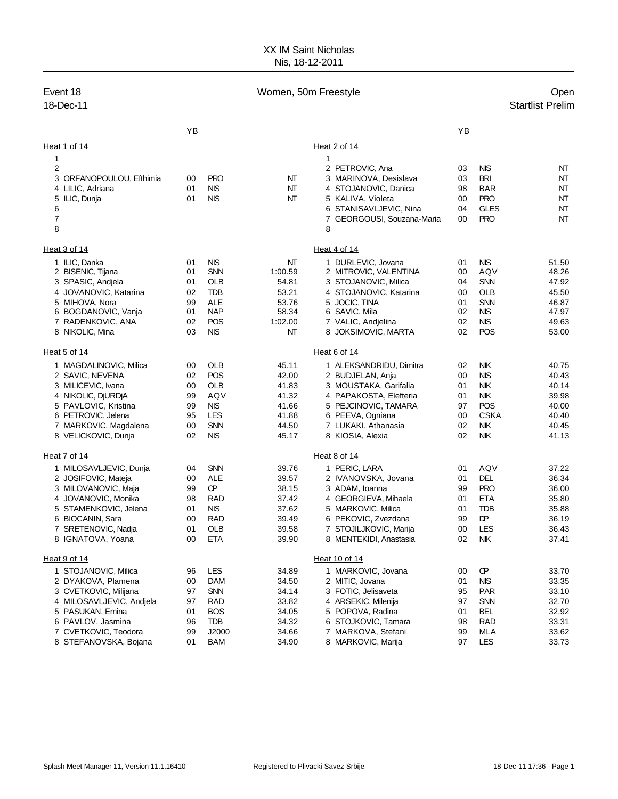## XX IM Saint Nicholas Nis, 18-12-2011

| Event 18<br>18-Dec-11    |    |            | Women, 50m Freestyle |                            |    |             | Open<br><b>Startlist Prelim</b> |
|--------------------------|----|------------|----------------------|----------------------------|----|-------------|---------------------------------|
|                          | YB |            |                      |                            | YB |             |                                 |
| Heat 1 of 14             |    |            |                      | Heat 2 of 14               |    |             |                                 |
| 1                        |    |            |                      | 1                          |    |             |                                 |
| $\overline{\mathbf{c}}$  |    |            |                      | 2 PETROVIC, Ana            | 03 | <b>NIS</b>  | NT                              |
| 3 ORFANOPOULOU, Efthimia | 00 | <b>PRO</b> | NT                   | 3 MARINOVA, Desislava      | 03 | <b>BRI</b>  | NT                              |
| 4 LILIC, Adriana         | 01 | NIS        | NΤ                   | 4 STOJANOVIC, Danica       | 98 | <b>BAR</b>  | NT                              |
| 5 ILIC, Dunja            | 01 | NIS        | NΤ                   | 5 KALIVA, Violeta          | 00 | <b>PRO</b>  | NT                              |
| 6                        |    |            |                      | 6 STANISAVLJEVIC, Nina     | 04 | <b>GLES</b> | NT                              |
| 7                        |    |            |                      | 7 GEORGOUSI, Souzana-Maria | 00 | <b>PRO</b>  | NT                              |
| 8                        |    |            |                      | 8                          |    |             |                                 |
| Heat 3 of 14             |    |            |                      | Heat 4 of 14               |    |             |                                 |
| 1 ILIC, Danka            | 01 | NIS        | NT                   | 1 DURLEVIC, Jovana         | 01 | <b>NIS</b>  | 51.50                           |
| 2 BISENIC, Tijana        | 01 | <b>SNN</b> | 1:00.59              | 2 MITROVIC, VALENTINA      | 00 | AQV         | 48.26                           |
| 3 SPASIC, Andjela        | 01 | <b>OLB</b> | 54.81                | 3 STOJANOVIC, Milica       | 04 | <b>SNN</b>  | 47.92                           |
| 4 JOVANOVIC, Katarina    | 02 | <b>TDB</b> | 53.21                | 4 STOJANOVIC, Katarina     | 00 | <b>OLB</b>  | 45.50                           |
| 5 MIHOVA, Nora           | 99 | <b>ALE</b> | 53.76                | 5 JOCIC, TINA              | 01 | <b>SNN</b>  | 46.87                           |
| 6 BOGDANOVIC, Vanja      | 01 | <b>NAP</b> | 58.34                | 6 SAVIC, Mila              | 02 | <b>NIS</b>  | 47.97                           |
| 7 RADENKOVIC, ANA        | 02 | POS        | 1:02.00              | 7 VALIC, Andjelina         | 02 | <b>NIS</b>  | 49.63                           |
| 8 NIKOLIC, Mina          | 03 | NIS        | NT                   | 8 JOKSIMOVIC, MARTA        | 02 | POS         | 53.00                           |
| Heat 5 of 14             |    |            |                      | Heat 6 of 14               |    |             |                                 |
| 1 MAGDALINOVIC, Milica   | 00 | OLB        | 45.11                | 1 ALEKSANDRIDU, Dimitra    | 02 | NK          | 40.75                           |
| 2 SAVIC, NEVENA          | 02 | POS        | 42.00                | 2 BUDJELAN, Anja           | 00 | <b>NIS</b>  | 40.43                           |
| 3 MILICEVIC, Ivana       | 00 | OLB        | 41.83                | 3 MOUSTAKA, Garifalia      | 01 | <b>NIK</b>  | 40.14                           |
| 4 NIKOLIC, DjURDjA       | 99 | AQV        | 41.32                | 4 PAPAKOSTA, Elefteria     | 01 | <b>NIK</b>  | 39.98                           |
| 5 PAVLOVIC, Kristina     | 99 | <b>NIS</b> | 41.66                | 5 PEJCINOVIC, TAMARA       | 97 | POS         | 40.00                           |
| 6 PETROVIC, Jelena       | 95 | <b>LES</b> | 41.88                | 6 PEEVA, Ogniana           | 00 | <b>CSKA</b> | 40.40                           |
| 7 MARKOVIC, Magdalena    | 00 | <b>SNN</b> | 44.50                | 7 LUKAKI, Athanasia        | 02 | <b>NIK</b>  | 40.45                           |
| 8 VELICKOVIC, Dunja      | 02 | <b>NIS</b> | 45.17                | 8 KIOSIA, Alexia           | 02 | <b>NIK</b>  | 41.13                           |
| Heat 7 of 14             |    |            |                      | Heat 8 of 14               |    |             |                                 |
| 1 MILOSAVLJEVIC, Dunja   | 04 | <b>SNN</b> | 39.76                | 1 PERIC, LARA              | 01 | AQV         | 37.22                           |
| 2 JOSIFOVIC, Mateja      | 00 | <b>ALE</b> | 39.57                | 2 IVANOVSKA, Jovana        | 01 | DEL         | 36.34                           |
| 3 MILOVANOVIC, Maja      | 99 | œ          | 38.15                | 3 ADAM, Ioanna             | 99 | <b>PRO</b>  | 36.00                           |
| 4 JOVANOVIC, Monika      | 98 | <b>RAD</b> | 37.42                | 4 GEORGIEVA, Mihaela       | 01 | ETA         | 35.80                           |
| 5 STAMENKOVIC, Jelena    | 01 | <b>NIS</b> | 37.62                | 5 MARKOVIC, Milica         | 01 | <b>TDB</b>  | 35.88                           |
| 6 BIOCANIN, Sara         | 00 | <b>RAD</b> | 39.49                | 6 PEKOVIC, Zvezdana        | 99 | DP          | 36.19                           |
| 7 SRETENOVIC, Nadja      | 01 | OLB        | 39.58                | 7 STOJILJKOVIC, Marija     | 00 | LES         | 36.43                           |
| 8 IGNATOVA, Yoana        | 00 | <b>ETA</b> | 39.90                | 8 MENTEKIDI, Anastasia     | 02 | <b>NIK</b>  | 37.41                           |
| Heat 9 of 14             |    |            |                      | Heat 10 of 14              |    |             |                                 |
| 1 STOJANOVIC, Milica     | 96 | LES        | 34.89                | 1 MARKOVIC, Jovana         | 00 | œ           | 33.70                           |
| 2 DYAKOVA, Plamena       | 00 | DAM        | 34.50                | 2 MITIC, Jovana            | 01 | <b>NIS</b>  | 33.35                           |
| 3 CVETKOVIC, Milijana    | 97 | <b>SNN</b> | 34.14                | 3 FOTIC, Jelisaveta        | 95 | <b>PAR</b>  | 33.10                           |
| 4 MILOSAVLJEVIC, Andjela | 97 | RAD        | 33.82                | 4 ARSEKIC, Milenija        | 97 | <b>SNN</b>  | 32.70                           |
| 5 PASUKAN, Emina         | 01 | <b>BOS</b> | 34.05                | 5 POPOVA, Radina           | 01 | <b>BEL</b>  | 32.92                           |
| 6 PAVLOV, Jasmina        | 96 | <b>TDB</b> | 34.32                | 6 STOJKOVIC, Tamara        | 98 | <b>RAD</b>  | 33.31                           |
| 7 CVETKOVIC, Teodora     | 99 | J2000      | 34.66                | 7 MARKOVA, Stefani         | 99 | MLA         | 33.62                           |
| 8 STEFANOVSKA, Bojana    | 01 | <b>BAM</b> | 34.90                | 8 MARKOVIC, Marija         | 97 | <b>LES</b>  | 33.73                           |